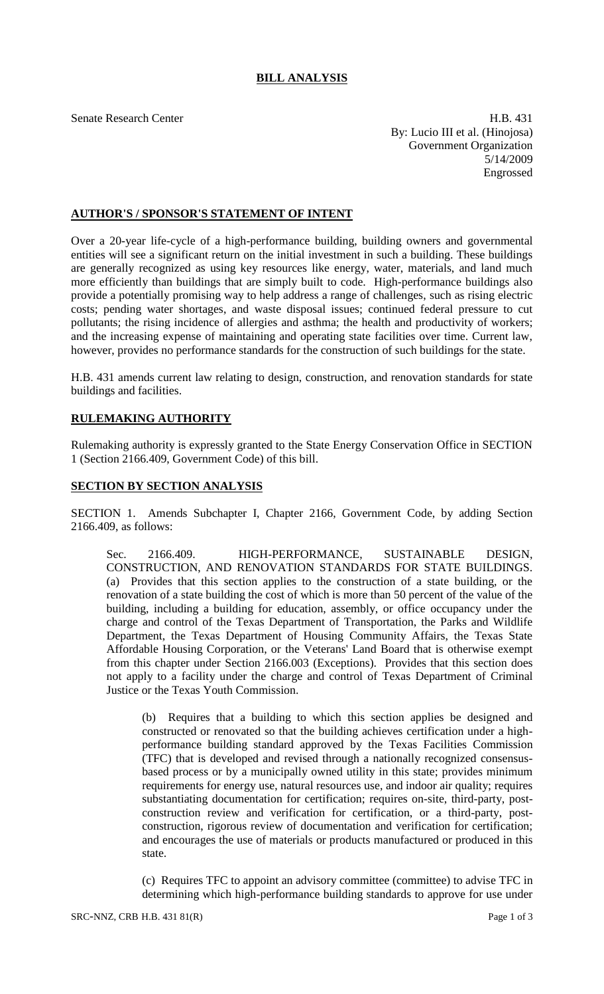## **BILL ANALYSIS**

Senate Research Center **H.B.** 431 By: Lucio III et al. (Hinojosa) Government Organization 5/14/2009 Engrossed

## **AUTHOR'S / SPONSOR'S STATEMENT OF INTENT**

Over a 20-year life-cycle of a high-performance building, building owners and governmental entities will see a significant return on the initial investment in such a building. These buildings are generally recognized as using key resources like energy, water, materials, and land much more efficiently than buildings that are simply built to code. High-performance buildings also provide a potentially promising way to help address a range of challenges, such as rising electric costs; pending water shortages, and waste disposal issues; continued federal pressure to cut pollutants; the rising incidence of allergies and asthma; the health and productivity of workers; and the increasing expense of maintaining and operating state facilities over time. Current law, however, provides no performance standards for the construction of such buildings for the state.

H.B. 431 amends current law relating to design, construction, and renovation standards for state buildings and facilities.

## **RULEMAKING AUTHORITY**

Rulemaking authority is expressly granted to the State Energy Conservation Office in SECTION 1 (Section 2166.409, Government Code) of this bill.

## **SECTION BY SECTION ANALYSIS**

SECTION 1. Amends Subchapter I, Chapter 2166, Government Code, by adding Section 2166.409, as follows:

Sec. 2166.409. HIGH-PERFORMANCE, SUSTAINABLE DESIGN, CONSTRUCTION, AND RENOVATION STANDARDS FOR STATE BUILDINGS. (a) Provides that this section applies to the construction of a state building, or the renovation of a state building the cost of which is more than 50 percent of the value of the building, including a building for education, assembly, or office occupancy under the charge and control of the Texas Department of Transportation, the Parks and Wildlife Department, the Texas Department of Housing Community Affairs, the Texas State Affordable Housing Corporation, or the Veterans' Land Board that is otherwise exempt from this chapter under Section 2166.003 (Exceptions). Provides that this section does not apply to a facility under the charge and control of Texas Department of Criminal Justice or the Texas Youth Commission.

(b) Requires that a building to which this section applies be designed and constructed or renovated so that the building achieves certification under a highperformance building standard approved by the Texas Facilities Commission (TFC) that is developed and revised through a nationally recognized consensusbased process or by a municipally owned utility in this state; provides minimum requirements for energy use, natural resources use, and indoor air quality; requires substantiating documentation for certification; requires on-site, third-party, postconstruction review and verification for certification, or a third-party, postconstruction, rigorous review of documentation and verification for certification; and encourages the use of materials or products manufactured or produced in this state.

(c) Requires TFC to appoint an advisory committee (committee) to advise TFC in determining which high-performance building standards to approve for use under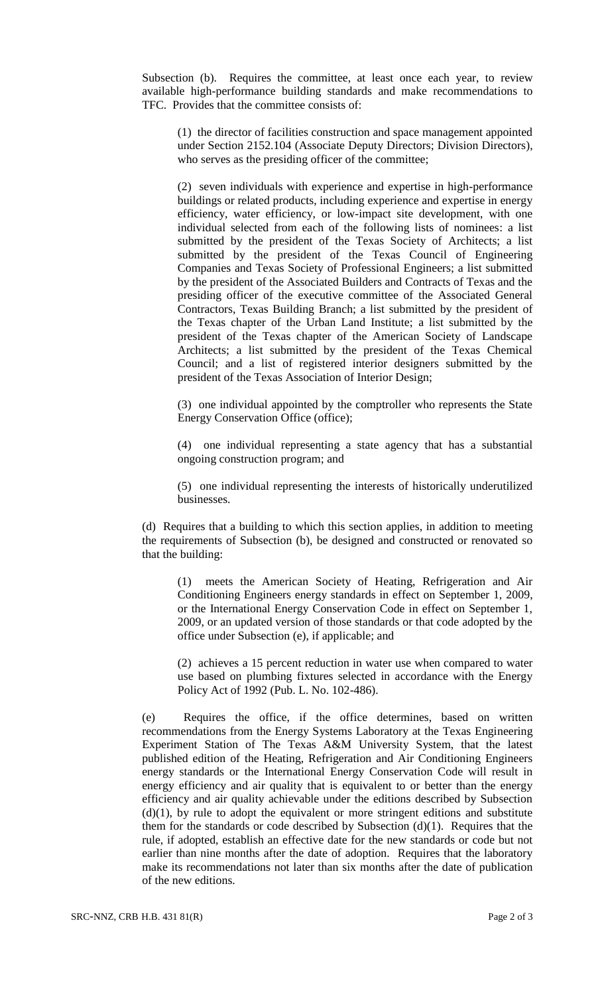Subsection (b). Requires the committee, at least once each year, to review available high-performance building standards and make recommendations to TFC. Provides that the committee consists of:

(1) the director of facilities construction and space management appointed under Section 2152.104 (Associate Deputy Directors; Division Directors), who serves as the presiding officer of the committee;

(2) seven individuals with experience and expertise in high-performance buildings or related products, including experience and expertise in energy efficiency, water efficiency, or low-impact site development, with one individual selected from each of the following lists of nominees: a list submitted by the president of the Texas Society of Architects; a list submitted by the president of the Texas Council of Engineering Companies and Texas Society of Professional Engineers; a list submitted by the president of the Associated Builders and Contracts of Texas and the presiding officer of the executive committee of the Associated General Contractors, Texas Building Branch; a list submitted by the president of the Texas chapter of the Urban Land Institute; a list submitted by the president of the Texas chapter of the American Society of Landscape Architects; a list submitted by the president of the Texas Chemical Council; and a list of registered interior designers submitted by the president of the Texas Association of Interior Design;

(3) one individual appointed by the comptroller who represents the State Energy Conservation Office (office);

(4) one individual representing a state agency that has a substantial ongoing construction program; and

(5) one individual representing the interests of historically underutilized businesses.

(d) Requires that a building to which this section applies, in addition to meeting the requirements of Subsection (b), be designed and constructed or renovated so that the building:

(1) meets the American Society of Heating, Refrigeration and Air Conditioning Engineers energy standards in effect on September 1, 2009, or the International Energy Conservation Code in effect on September 1, 2009, or an updated version of those standards or that code adopted by the office under Subsection (e), if applicable; and

(2) achieves a 15 percent reduction in water use when compared to water use based on plumbing fixtures selected in accordance with the Energy Policy Act of 1992 (Pub. L. No. 102-486).

(e) Requires the office, if the office determines, based on written recommendations from the Energy Systems Laboratory at the Texas Engineering Experiment Station of The Texas A&M University System, that the latest published edition of the Heating, Refrigeration and Air Conditioning Engineers energy standards or the International Energy Conservation Code will result in energy efficiency and air quality that is equivalent to or better than the energy efficiency and air quality achievable under the editions described by Subsection  $(d)(1)$ , by rule to adopt the equivalent or more stringent editions and substitute them for the standards or code described by Subsection (d)(1). Requires that the rule, if adopted, establish an effective date for the new standards or code but not earlier than nine months after the date of adoption. Requires that the laboratory make its recommendations not later than six months after the date of publication of the new editions.